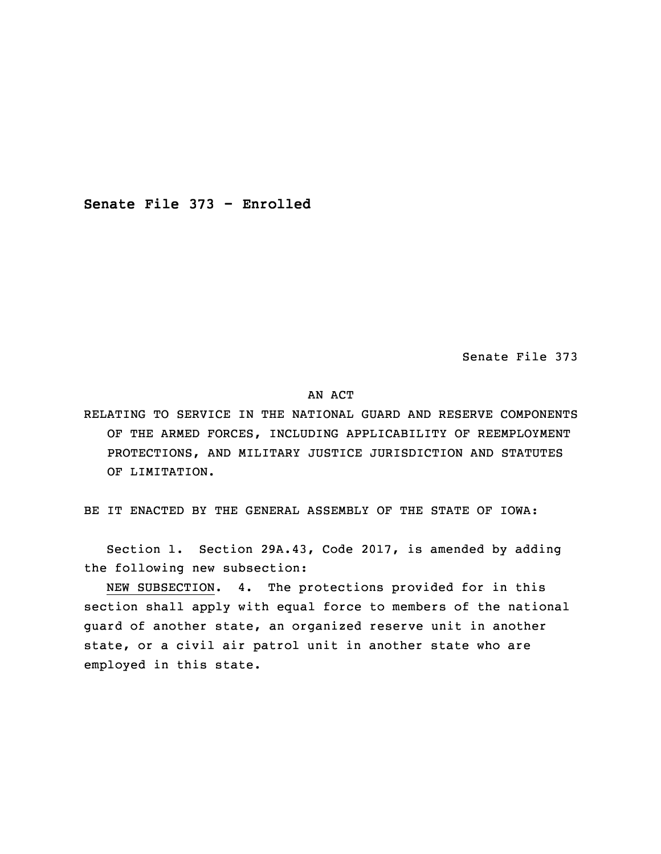**Senate File 373 - Enrolled**

Senate File 373

AN ACT

RELATING TO SERVICE IN THE NATIONAL GUARD AND RESERVE COMPONENTS OF THE ARMED FORCES, INCLUDING APPLICABILITY OF REEMPLOYMENT PROTECTIONS, AND MILITARY JUSTICE JURISDICTION AND STATUTES OF LIMITATION.

5 BE IT ENACTED BY THE GENERAL ASSEMBLY OF THE STATE OF IOWA:

 Section 1. Section 29A.43, Code 2017, is amended by adding the following new subsection:

NEW SUBSECTION. 4. The protections provided for in this section shall apply with equal force to members of the national guard of another state, an organized reserve unit in another state, or a civil air patrol unit in another state who are employed in this state.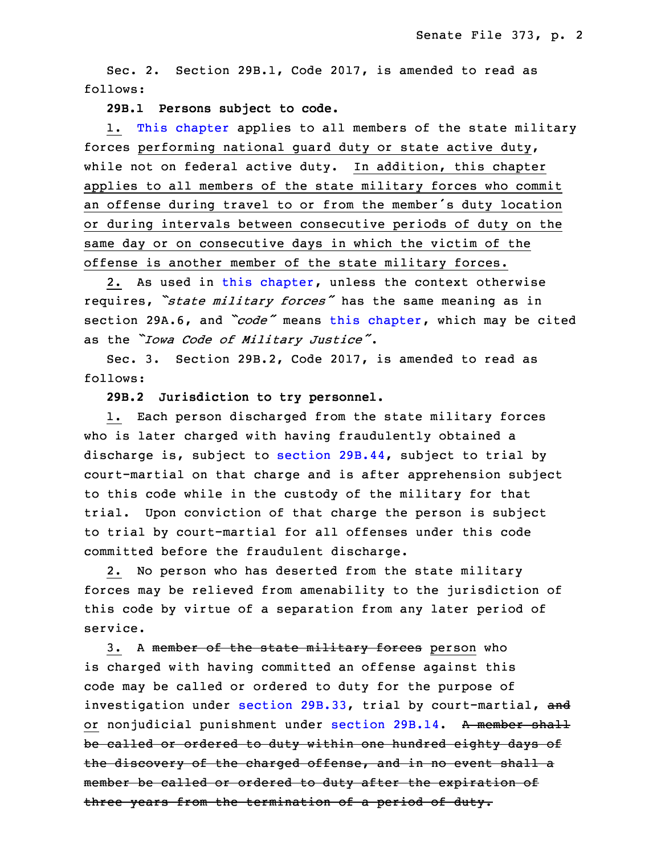Sec. 2. Section 29B.1, Code 2017, is amended to read as follows:

## 10 **29B.1 Persons subject to code.**

 1. This [chapter](https://www.legis.iowa.gov/docs/code/2017/29B.pdf) applies to all members of the state military forces performing national guard duty or state active duty, while not on federal active duty. In addition, this chapter applies to all members of the state military forces who commit an offense during travel to or from the member's duty location or during intervals between consecutive periods of duty on the same day or on consecutive days in which the victim of the offense is another member of the state military forces.

2. As used in this [chapter](https://www.legis.iowa.gov/docs/code/2017/29B.pdf), unless the context otherwise <sup>20</sup> requires, *"state military forces"* has the same meaning as in section 29A.6, and *"code"* means this [chapter](https://www.legis.iowa.gov/docs/code/2017/29B.pdf), which may be cited as the *"Iowa Code of Military Justice"*.

Sec. 3. Section 29B.2, Code 2017, is amended to read as follows:

25 **29B.2 Jurisdiction to try personnel.**

1. Each person discharged from the state military forces who is later charged with having fraudulently obtained a discharge is, subject to section [29B.44](https://www.legis.iowa.gov/docs/code/2017/29B.44.pdf), subject to trial by court-martial on that charge and is after apprehension subject to this code while in the custody of the military for that trial. Upon conviction of that charge the person is subject to trial by court-martial for all offenses under this code committed before the fraudulent discharge.

2. No person who has deserted from the state military forces may be relieved from amenability to the jurisdiction of this code by virtue of <sup>a</sup> separation from any later period of service.

3. A member of the state military forces person who is charged with having committed an offense against this code may be called or ordered to duty for the purpose of investigation under [section](https://www.legis.iowa.gov/docs/code/2017/29B.33.pdf) 29B.33, trial by court-martial, and or nonjudicial punishment under [section](https://www.legis.iowa.gov/docs/code/2017/29B.14.pdf) 29B.14. A member shall be called or ordered to duty within one hundred eighty days of the discovery of the charged offense, and in no event shall a member be called or ordered to duty after the expiration of three years from the termination of <sup>a</sup> period of duty.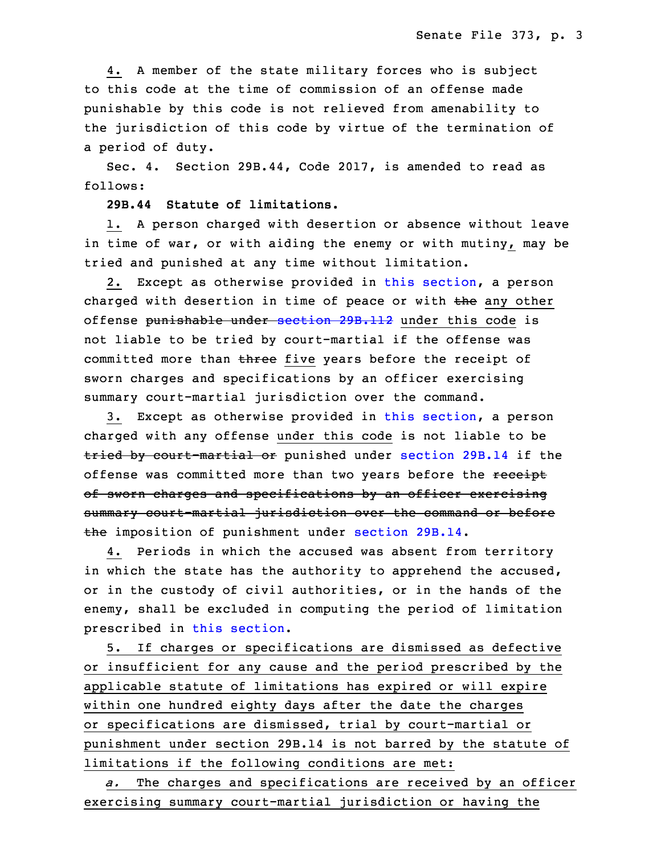4. <sup>A</sup> member of the state military forces who is subject to this code at the time of commission of an offense made punishable by this code is not relieved from amenability to the jurisdiction of this code by virtue of the termination of a period of duty.

Sec. 4. Section 29B.44, Code 2017, is amended to read as follows:

## 19 **29B.44 Statute of limitations.**

1. A person charged with desertion or absence without leave in time of war, or with aiding the enemy or with mutiny, may be tried and punished at any time without limitation.

2. Except as otherwise provided in this [section](https://www.legis.iowa.gov/docs/code/2017/29B.44.pdf), a person charged with desertion in time of peace or with the any other offense punishable under [section](https://www.legis.iowa.gov/docs/code/2017/29B.112.pdf) 29B.112 under this code is not liable to be tried by court-martial if the offense was committed more than three five years before the receipt of sworn charges and specifications by an officer exercising summary court-martial jurisdiction over the command.

3. Except as otherwise provided in this [section](https://www.legis.iowa.gov/docs/code/2017/29B.44.pdf), a person charged with any offense under this code is not liable to be tried by court-martial or punished under [section](https://www.legis.iowa.gov/docs/code/2017/29B.14.pdf) 29B.14 if the offense was committed more than two years before the receipt of sworn charges and specifications by an officer exercising summary court-martial jurisdiction over the command or before the imposition of punishment under [section](https://www.legis.iowa.gov/docs/code/2017/29B.14.pdf) 29B.14.

 4. Periods in which the accused was absent from territory in which the state has the authority to apprehend the accused, or in the custody of civil authorities, or in the hands of the enemy, shall be excluded in computing the period of limitation prescribed in this [section](https://www.legis.iowa.gov/docs/code/2017/29B.44.pdf).

5. If charges or specifications are dismissed as defective or insufficient for any cause and the period prescribed by the applicable statute of limitations has expired or will expire within one hundred eighty days after the date the charges or specifications are dismissed, trial by court-martial or punishment under section 29B.14 is not barred by the statute of limitations if the following conditions are met:

 *a.* The charges and specifications are received by an officer exercising summary court-martial jurisdiction or having the